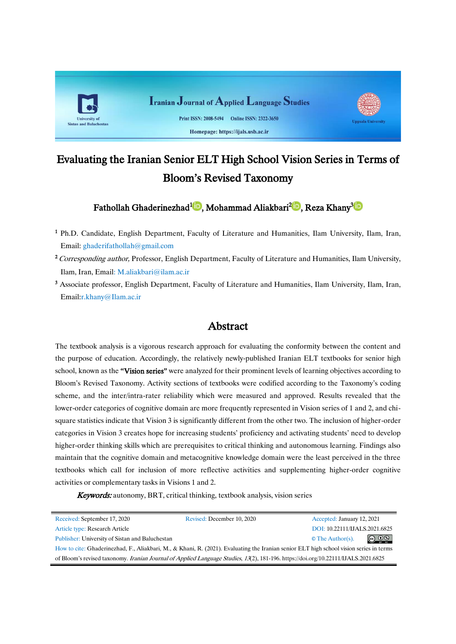

# Evaluating the Iranian Senior ELT High School Vision Series in Terms of Bloom's Revised Taxonomy

Fathollah Ghaderinezhad<sup>[1](https://orcid.org/0000-0001-9280-3705)</sup>D[,](https://orcid.org/0000-0002-5974-9708) Mohammad Aliakbari<sup>2</sup>D, Reza Khany<sup>3</sup>D

- <sup>1</sup> Ph.D. Candidate, English Department, [Faculty of Literature and Humanities,](http://www.ilam.ac.ir/en/page/?ihwfsywku-faculty-of-Literature-and-Humanities) Ilam University, Ilam, Iran, Email: [ghaderifathollah@gmail.com](mailto:ghaderifathollah@gmail.com)
- <sup>2</sup> Corresponding author, Professor, English Department, [Faculty of Literature and Humanities,](http://www.ilam.ac.ir/en/page/?ihwfsywku-faculty-of-Literature-and-Humanities) Ilam University, Ilam, Iran, Email: [M.aliakbari@i](mailto:M.aliakbari@)lam.ac.ir
- <sup>3</sup> Associate professor, English Department, [Faculty of Literature and Humanities,](http://www.ilam.ac.ir/en/page/?ihwfsywku-faculty-of-Literature-and-Humanities) Ilam University, Ilam, Iran, Email[:r.khany@Ilam.ac.ir](mailto:r.khany@Ilam.ac.ir)

# Abstract

The textbook analysis is a vigorous research approach for evaluating the conformity between the content and the purpose of education. Accordingly, the relatively newly-published Iranian ELT textbooks for senior high school, known as the "Vision series" were analyzed for their prominent levels of learning objectives according to Bloom's Revised Taxonomy. Activity sections of textbooks were codified according to the Taxonomy's coding scheme, and the inter/intra-rater reliability which were measured and approved. Results revealed that the lower-order categories of cognitive domain are more frequently represented in Vision series of 1 and 2, and chisquare statistics indicate that Vision 3 is significantly different from the other two. The inclusion of higher-order categories in Vision 3 creates hope for increasing students' proficiency and activating students' need to develop higher-order thinking skills which are prerequisites to critical thinking and autonomous learning. Findings also maintain that the cognitive domain and metacognitive knowledge domain were the least perceived in the three textbooks which call for inclusion of more reflective activities and supplementing higher-order cognitive activities or complementary tasks in Visions 1 and 2.

Keywords: autonomy, BRT, critical thinking, textbook analysis, vision series

| Received: September 17, 2020                                                                                                            | Revised: December 10, 2020 | Accepted: January 12, 2021                              |
|-----------------------------------------------------------------------------------------------------------------------------------------|----------------------------|---------------------------------------------------------|
| Article type: Research Article                                                                                                          |                            | DOI: 10.22111/IJALS.2021.6825                           |
| Publisher: University of Sistan and Baluchestan                                                                                         |                            | $\circledcirc$ $\circledcirc$<br>$\circ$ The Author(s). |
| How to cite: Ghaderinezhad, F., Aliakbari, M., & Khani, R. (2021). Evaluating the Iranian senior ELT high school vision series in terms |                            |                                                         |
| of Bloom's revised taxonomy. Iranian Journal of Applied Language Studies, 13(2), 181-196. https://doi.org/10.22111/IJALS.2021.6825      |                            |                                                         |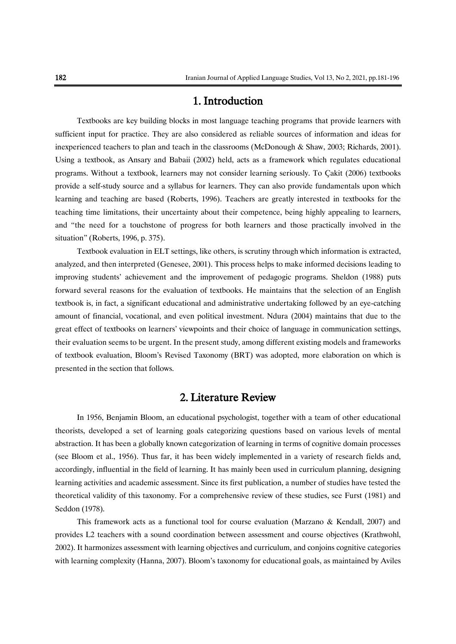# 1. Introduction

Textbooks are key building blocks in most language teaching programs that provide learners with sufficient input for practice. They are also considered as reliable sources of information and ideas for inexperienced teachers to plan and teach in the classrooms (McDonough & Shaw, 2003; Richards, 2001). Using a textbook, as Ansary and Babaii (2002) held, acts as a framework which regulates educational programs. Without a textbook, learners may not consider learning seriously. To Çakit (2006) textbooks provide a self-study source and a syllabus for learners. They can also provide fundamentals upon which learning and teaching are based (Roberts, 1996). Teachers are greatly interested in textbooks for the teaching time limitations, their uncertainty about their competence, being highly appealing to learners, and "the need for a touchstone of progress for both learners and those practically involved in the situation" (Roberts, 1996, p. 375).

Textbook evaluation in ELT settings, like others, is scrutiny through which information is extracted, analyzed, and then interpreted (Genesee, 2001). This process helps to make informed decisions leading to improving students' achievement and the improvement of pedagogic programs. Sheldon (1988) puts forward several reasons for the evaluation of textbooks. He maintains that the selection of an English textbook is, in fact, a significant educational and administrative undertaking followed by an eye-catching amount of financial, vocational, and even political investment. Ndura (2004) maintains that due to the great effect of textbooks on learners' viewpoints and their choice of language in communication settings, their evaluation seems to be urgent. In the present study, among different existing models and frameworks of textbook evaluation, Bloom's Revised Taxonomy (BRT) was adopted, more elaboration on which is presented in the section that follows.

### 2. Literature Review

In 1956, Benjamin Bloom, an educational psychologist, together with a team of other educational theorists, developed a set of learning goals categorizing questions based on various levels of mental abstraction. It has been a globally known categorization of learning in terms of cognitive domain processes (see Bloom et al., 1956). Thus far, it has been widely implemented in a variety of research fields and, accordingly, influential in the field of learning. It has mainly been used in curriculum planning, designing learning activities and academic assessment. Since its first publication, a number of studies have tested the theoretical validity of this taxonomy. For a comprehensive review of these studies, see Furst (1981) and Seddon (1978).

This framework acts as a functional tool for course evaluation (Marzano & Kendall, 2007) and provides L2 teachers with a sound coordination between assessment and course objectives (Krathwohl, 2002). It harmonizes assessment with learning objectives and curriculum, and conjoins cognitive categories with learning complexity (Hanna, 2007). Bloom's taxonomy for educational goals, as maintained by Aviles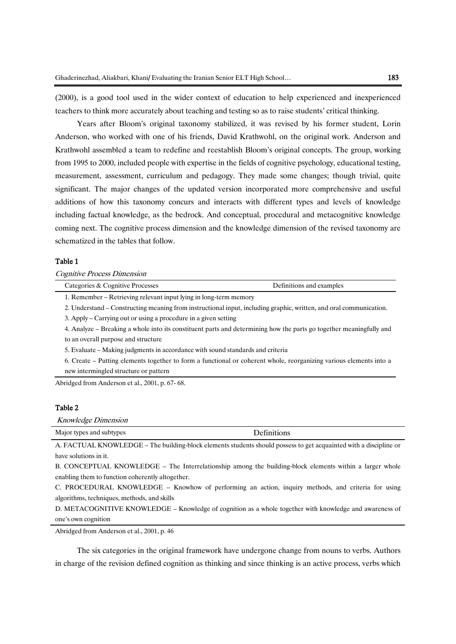(2000), is a good tool used in the wider context of education to help experienced and inexperienced teachers to think more accurately about teaching and testing so as to raise students' critical thinking.

Years after Bloom's original taxonomy stabilized, it was revised by his former student, Lorin Anderson, who worked with one of his friends, David Krathwohl, on the original work. Anderson and Krathwohl assembled a team to redefine and reestablish Bloom's original concepts. The group, working from 1995 to 2000, included people with expertise in the fields of cognitive psychology, educational testing, measurement, assessment, curriculum and pedagogy. They made some changes; though trivial, quite significant. The major changes of the updated version incorporated more comprehensive and useful additions of how this taxonomy concurs and interacts with different types and levels of knowledge including factual knowledge, as the bedrock. And conceptual, procedural and metacognitive knowledge coming next. The cognitive process dimension and the knowledge dimension of the revised taxonomy are schematized in the tables that follow.

#### Table 1

Cognitive Process Dimension

| Categories & Cognitive Processes                                  | Definitions and examples |
|-------------------------------------------------------------------|--------------------------|
| 1. Remember – Retrieving relevant input lying in long-term memory |                          |

2. Understand – Constructing meaning from instructional input, including graphic, written, and oral communication.

3. Apply – Carrying out or using a procedure in a given setting

4. Analyze – Breaking a whole into its constituent parts and determining how the parts go together meaningfully and to an overall purpose and structure

5. Evaluate – Making judgments in accordance with sound standards and criteria

6. Create – Putting elements together to form a functional or coherent whole, reorganizing various elements into a new intermingled structure or pattern

Abridged from Anderson et al., 2001, p. 67- 68.

#### Table 2

Knowledge Dimension

| Major types and subtypes | r c .<br><b>Definitions</b> |  |
|--------------------------|-----------------------------|--|

A. FACTUAL KNOWLEDGE – The building-block elements students should possess to get acquainted with a discipline or have solutions in it.

B. CONCEPTUAL KNOWLEDGE – The Interrelationship among the building-block elements within a larger whole enabling them to function coherently altogether.

C. PROCEDURAL KNOWLEDGE – Knowhow of performing an action, inquiry methods, and criteria for using algorithms, techniques, methods, and skills

D. METACOGNITIVE KNOWLEDGE – Knowledge of cognition as a whole together with knowledge and awareness of one's own cognition

Abridged from Anderson et al., 2001, p. 46

The six categories in the original framework have undergone change from nouns to verbs. Authors in charge of the revision defined cognition as thinking and since thinking is an active process, verbs which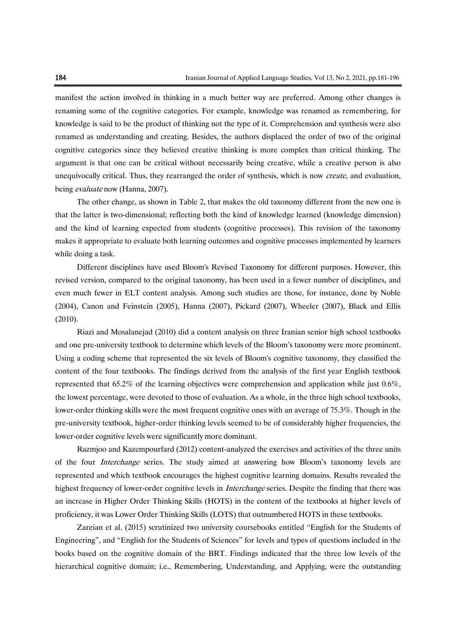manifest the action involved in thinking in a much better way are preferred. Among other changes is renaming some of the cognitive categories. For example, knowledge was renamed as remembering, for knowledge is said to be the product of thinking not the type of it. Comprehension and synthesis were also renamed as understanding and creating. Besides, the authors displaced the order of two of the original cognitive categories since they believed creative thinking is more complex than critical thinking. The argument is that one can be critical without necessarily being creative, while a creative person is also unequivocally critical. Thus, they rearranged the order of synthesis, which is now *create*, and evaluation, being evaluate now (Hanna, 2007).

The other change, as shown in Table 2, that makes the old taxonomy different from the new one is that the latter is two-dimensional; reflecting both the kind of knowledge learned (knowledge dimension) and the kind of learning expected from students (cognitive processes). This revision of the taxonomy makes it appropriate to evaluate both learning outcomes and cognitive processes implemented by learners while doing a task.

Different disciplines have used Bloom's Revised Taxonomy for different purposes. However, this revised version, compared to the original taxonomy, has been used in a fewer number of disciplines, and even much fewer in ELT content analysis. Among such studies are those, for instance, done by Noble (2004), Canon and Feinstein (2005), Hanna (2007), Pickard (2007), Wheeler (2007), Black and Ellis (2010).

Riazi and Mosalanejad (2010) did a content analysis on three Iranian senior high school textbooks and one pre-university textbook to determine which levels of the Bloom's taxonomy were more prominent. Using a coding scheme that represented the six levels of Bloom's cognitive taxonomy, they classified the content of the four textbooks. The findings derived from the analysis of the first year English textbook represented that 65.2% of the learning objectives were comprehension and application while just 0.6%, the lowest percentage, were devoted to those of evaluation. As a whole, in the three high school textbooks, lower-order thinking skills were the most frequent cognitive ones with an average of 75.3%. Though in the pre-university textbook, higher-order thinking levels seemed to be of considerably higher frequencies, the lower-order cognitive levels were significantly more dominant.

Razmjoo and Kazempourfard (2012) content-analyzed the exercises and activities of the three units of the four Interchange series. The study aimed at answering how Bloom's taxonomy levels are represented and which textbook encourages the highest cognitive learning domains. Results revealed the highest frequency of lower-order cognitive levels in *Interchange* series. Despite the finding that there was an increase in Higher Order Thinking Skills (HOTS) in the content of the textbooks at higher levels of proficiency, it was Lower Order Thinking Skills (LOTS) that outnumbered HOTS in these textbooks.

Zareian et al. (2015) scrutinized two university coursebooks entitled "English for the Students of Engineering", and "English for the Students of Sciences" for levels and types of questions included in the books based on the cognitive domain of the BRT. Findings indicated that the three low levels of the hierarchical cognitive domain; i.e., Remembering, Understanding, and Applying, were the outstanding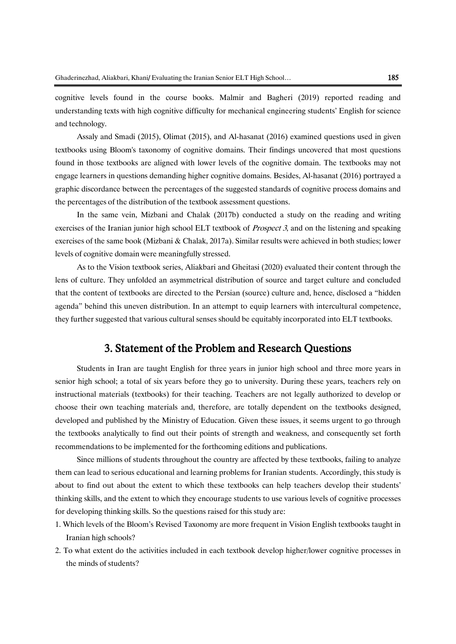cognitive levels found in the course books. Malmir and Bagheri (2019) reported reading and understanding texts with high cognitive difficulty for mechanical engineering students' English for science and technology.

Assaly and Smadi (2015), Olimat (2015), and Al-hasanat (2016) examined questions used in given textbooks using Bloom's taxonomy of cognitive domains. Their findings uncovered that most questions found in those textbooks are aligned with lower levels of the cognitive domain. The textbooks may not engage learners in questions demanding higher cognitive domains. Besides, Al-hasanat (2016) portrayed a graphic discordance between the percentages of the suggested standards of cognitive process domains and the percentages of the distribution of the textbook assessment questions.

In the same vein, Mizbani and Chalak (2017b) conducted a study on the reading and writing exercises of the Iranian junior high school ELT textbook of *Prospect 3*, and on the listening and speaking exercises of the same book (Mizbani & Chalak, 2017a). Similar results were achieved in both studies; lower levels of cognitive domain were meaningfully stressed.

As to the Vision textbook series, Aliakbari and Gheitasi (2020) evaluated their content through the lens of culture. They unfolded an asymmetrical distribution of source and target culture and concluded that the content of textbooks are directed to the Persian (source) culture and, hence, disclosed a "hidden agenda" behind this uneven distribution. In an attempt to equip learners with intercultural competence, they further suggested that various cultural senses should be equitably incorporated into ELT textbooks.

## 3. Statement of the Problem and Research Questions

Students in Iran are taught English for three years in junior high school and three more years in senior high school; a total of six years before they go to university. During these years, teachers rely on instructional materials (textbooks) for their teaching. Teachers are not legally authorized to develop or choose their own teaching materials and, therefore, are totally dependent on the textbooks designed, developed and published by the Ministry of Education. Given these issues, it seems urgent to go through the textbooks analytically to find out their points of strength and weakness, and consequently set forth recommendations to be implemented for the forthcoming editions and publications.

Since millions of students throughout the country are affected by these textbooks, failing to analyze them can lead to serious educational and learning problems for Iranian students. Accordingly, this study is about to find out about the extent to which these textbooks can help teachers develop their students' thinking skills, and the extent to which they encourage students to use various levels of cognitive processes for developing thinking skills. So the questions raised for this study are:

- 1. Which levels of the Bloom's Revised Taxonomy are more frequent in Vision English textbooks taught in Iranian high schools?
- 2. To what extent do the activities included in each textbook develop higher/lower cognitive processes in the minds of students?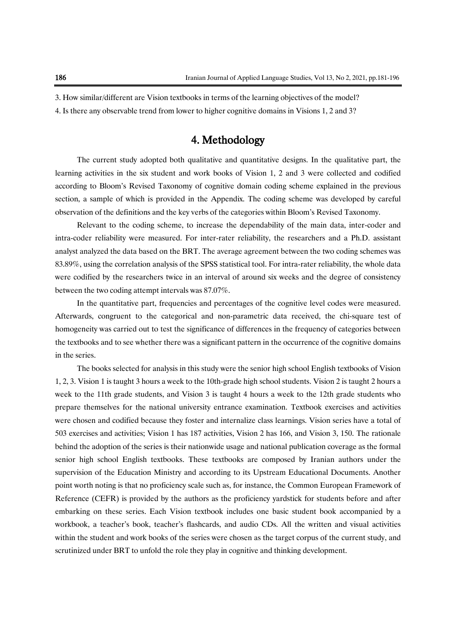3. How similar/different are Vision textbooks in terms of the learning objectives of the model?

4. Is there any observable trend from lower to higher cognitive domains in Visions 1, 2 and 3?

# 4. Methodology

The current study adopted both qualitative and quantitative designs. In the qualitative part, the learning activities in the six student and work books of Vision 1, 2 and 3 were collected and codified according to Bloom's Revised Taxonomy of cognitive domain coding scheme explained in the previous section, a sample of which is provided in the Appendix. The coding scheme was developed by careful observation of the definitions and the key verbs of the categories within Bloom's Revised Taxonomy.

Relevant to the coding scheme, to increase the dependability of the main data, inter-coder and intra-coder reliability were measured. For inter-rater reliability, the researchers and a Ph.D. assistant analyst analyzed the data based on the BRT. The average agreement between the two coding schemes was 83.89%, using the correlation analysis of the SPSS statistical tool. For intra-rater reliability, the whole data were codified by the researchers twice in an interval of around six weeks and the degree of consistency between the two coding attempt intervals was 87.07%.

In the quantitative part, frequencies and percentages of the cognitive level codes were measured. Afterwards, congruent to the categorical and non-parametric data received, the chi-square test of homogeneity was carried out to test the significance of differences in the frequency of categories between the textbooks and to see whether there was a significant pattern in the occurrence of the cognitive domains in the series.

The books selected for analysis in this study were the senior high school English textbooks of Vision 1, 2, 3. Vision 1 is taught 3 hours a week to the 10th-grade high school students. Vision 2 is taught 2 hours a week to the 11th grade students, and Vision 3 is taught 4 hours a week to the 12th grade students who prepare themselves for the national university entrance examination. Textbook exercises and activities were chosen and codified because they foster and internalize class learnings. Vision series have a total of 503 exercises and activities; Vision 1 has 187 activities, Vision 2 has 166, and Vision 3, 150. The rationale behind the adoption of the series is their nationwide usage and national publication coverage as the formal senior high school English textbooks. These textbooks are composed by Iranian authors under the supervision of the Education Ministry and according to its Upstream Educational Documents. Another point worth noting is that no proficiency scale such as, for instance, the Common European Framework of Reference (CEFR) is provided by the authors as the proficiency yardstick for students before and after embarking on these series. Each Vision textbook includes one basic student book accompanied by a workbook, a teacher's book, teacher's flashcards, and audio CDs. All the written and visual activities within the student and work books of the series were chosen as the target corpus of the current study, and scrutinized under BRT to unfold the role they play in cognitive and thinking development.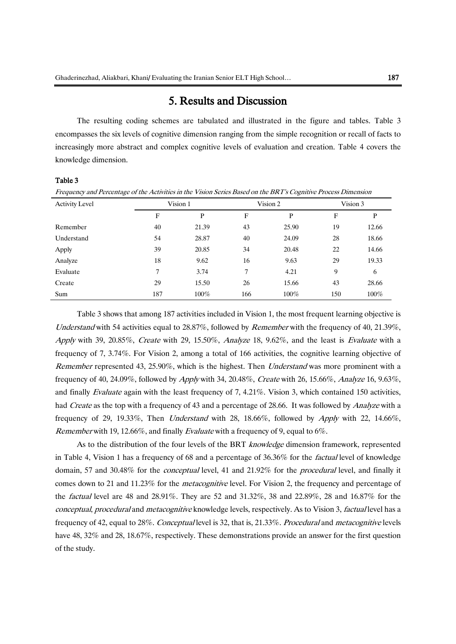### 5. Results and Discussion

The resulting coding schemes are tabulated and illustrated in the figure and tables. Table 3 encompasses the six levels of cognitive dimension ranging from the simple recognition or recall of facts to increasingly more abstract and complex cognitive levels of evaluation and creation. Table 4 covers the knowledge dimension.

#### Table 3

| Frequency and Percentage of the Activities in the Vision Series Based on the BRT's Cognitive Process Dimension |          |  |          |  |          |  |
|----------------------------------------------------------------------------------------------------------------|----------|--|----------|--|----------|--|
| Activity Level                                                                                                 | Vision 1 |  | Vision 2 |  | Vision 3 |  |
|                                                                                                                |          |  |          |  |          |  |

|            | F   | p       | F   | Р       | F   | p       |
|------------|-----|---------|-----|---------|-----|---------|
| Remember   | 40  | 21.39   | 43  | 25.90   | 19  | 12.66   |
| Understand | 54  | 28.87   | 40  | 24.09   | 28  | 18.66   |
| Apply      | 39  | 20.85   | 34  | 20.48   | 22  | 14.66   |
| Analyze    | 18  | 9.62    | 16  | 9.63    | 29  | 19.33   |
| Evaluate   |     | 3.74    | 7   | 4.21    | 9   | 6       |
| Create     | 29  | 15.50   | 26  | 15.66   | 43  | 28.66   |
| Sum        | 187 | $100\%$ | 166 | $100\%$ | 150 | $100\%$ |

Table 3 shows that among 187 activities included in Vision 1, the most frequent learning objective is Understand with 54 activities equal to 28.87%, followed by *Remember* with the frequency of 40, 21.39%, Apply with 39, 20.85%, Create with 29, 15.50%, Analyze 18, 9.62%, and the least is Evaluate with a frequency of 7, 3.74%. For Vision 2, among a total of 166 activities, the cognitive learning objective of Remember represented 43, 25.90%, which is the highest. Then Understand was more prominent with a frequency of 40, 24.09%, followed by Apply with 34, 20.48%, Create with 26, 15.66%, Analyze 16, 9.63%, and finally Evaluate again with the least frequency of 7, 4.21%. Vision 3, which contained 150 activities, had *Create* as the top with a frequency of 43 and a percentage of 28.66. It was followed by *Analyze* with a frequency of 29, 19.33%, Then Understand with 28, 18.66%, followed by Apply with 22, 14.66%, Remember with 19, 12.66%, and finally Evaluate with a frequency of 9, equal to 6%.

As to the distribution of the four levels of the BRT knowledge dimension framework, represented in Table 4, Vision 1 has a frequency of 68 and a percentage of 36.36% for the *factual* level of knowledge domain, 57 and 30.48% for the conceptual level, 41 and 21.92% for the procedural level, and finally it comes down to 21 and 11.23% for the *metacognitive* level. For Vision 2, the frequency and percentage of the factual level are 48 and 28.91%. They are 52 and 31.32%, 38 and 22.89%, 28 and 16.87% for the conceptual, procedural and metacognitive knowledge levels, respectively. As to Vision 3, factual level has a frequency of 42, equal to 28%. Conceptual level is 32, that is, 21.33%. Procedural and metacognitive levels have 48, 32% and 28, 18.67%, respectively. These demonstrations provide an answer for the first question of the study.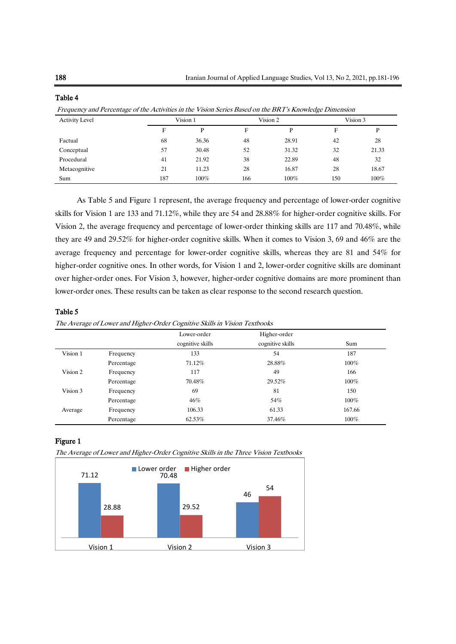| Prequency and Percentage of the Activities in the Vision Series Dased on the DKT 8 Knowledge Dimension |     |          |          |         |     |          |
|--------------------------------------------------------------------------------------------------------|-----|----------|----------|---------|-----|----------|
| <b>Activity Level</b>                                                                                  |     | Vision 1 | Vision 2 |         |     | Vision 3 |
|                                                                                                        | F   | D        | F        | P       | F   | P        |
| Factual                                                                                                | 68  | 36.36    | 48       | 28.91   | 42  | 28       |
| Conceptual                                                                                             | 57  | 30.48    | 52       | 31.32   | 32  | 21.33    |
| Procedural                                                                                             | 41  | 21.92    | 38       | 22.89   | 48  | 32       |
| Metacognitive                                                                                          | 21  | 11.23    | 28       | 16.87   | 28  | 18.67    |
| Sum                                                                                                    | 187 | $100\%$  | 166      | $100\%$ | 150 | $100\%$  |

#### Table 4

Frequency and Percentage of the Activities in the Vision Series Based on the BRT's Knowledge Dimension

As Table 5 and Figure 1 represent, the average frequency and percentage of lower-order cognitive skills for Vision 1 are 133 and 71.12%, while they are 54 and 28.88% for higher-order cognitive skills. For Vision 2, the average frequency and percentage of lower-order thinking skills are 117 and 70.48%, while they are 49 and 29.52% for higher-order cognitive skills. When it comes to Vision 3, 69 and 46% are the average frequency and percentage for lower-order cognitive skills, whereas they are 81 and 54% for higher-order cognitive ones. In other words, for Vision 1 and 2, lower-order cognitive skills are dominant over higher-order ones. For Vision 3, however, higher-order cognitive domains are more prominent than lower-order ones. These results can be taken as clear response to the second research question.

#### Table 5

The Average of Lower and Higher-Order Cognitive Skills in Vision Textbooks

|          |            | Lower-order      | Higher-order     |         |
|----------|------------|------------------|------------------|---------|
|          |            | cognitive skills | cognitive skills | Sum     |
| Vision 1 | Frequency  | 133              | 54               | 187     |
|          | Percentage | 71.12%           | 28.88%           | $100\%$ |
| Vision 2 | Frequency  | 117              | 49               | 166     |
|          | Percentage | 70.48%           | 29.52%           | $100\%$ |
| Vision 3 | Frequency  | 69               | 81               | 150     |
|          | Percentage | 46%              | 54%              | $100\%$ |
| Average  | Frequency  | 106.33           | 61.33            | 167.66  |
|          | Percentage | 62.53%           | 37.46%           | $100\%$ |

#### Figure 1

The Average of Lower and Higher-Order Cognitive Skills in the Three Vision Textbooks

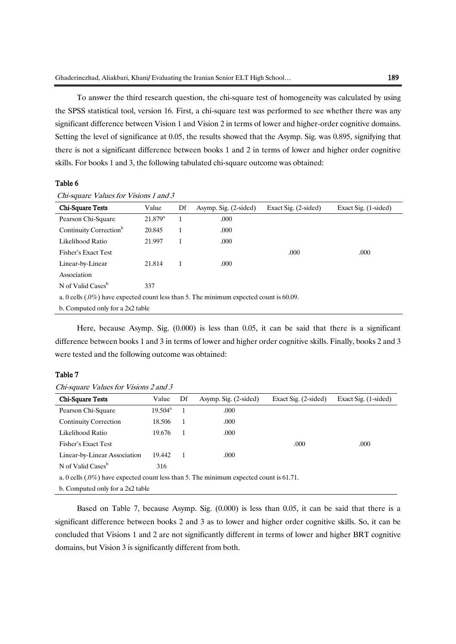To answer the third research question, the chi-square test of homogeneity was calculated by using the SPSS statistical tool, version 16. First, a chi-square test was performed to see whether there was any significant difference between Vision 1 and Vision 2 in terms of lower and higher-order cognitive domains. Setting the level of significance at 0.05, the results showed that the Asymp. Sig. was 0.895, signifying that there is not a significant difference between books 1 and 2 in terms of lower and higher order cognitive skills. For books 1 and 3, the following tabulated chi-square outcome was obtained:

#### Table 6

| Chi-Square Tests                                                                          | Value            | Df | Asymp. Sig. (2-sided) | Exact Sig. (2-sided) | Exact Sig. (1-sided) |  |
|-------------------------------------------------------------------------------------------|------------------|----|-----------------------|----------------------|----------------------|--|
| Pearson Chi-Square                                                                        | $21.879^{\rm a}$ |    | .000                  |                      |                      |  |
| Continuity Correction <sup>b</sup>                                                        | 20.845           |    | .000                  |                      |                      |  |
| Likelihood Ratio                                                                          | 21.997           | 1  | .000.                 |                      |                      |  |
| Fisher's Exact Test                                                                       |                  |    |                       | .000                 | .000                 |  |
| Linear-by-Linear                                                                          | 21.814           | 1  | .000                  |                      |                      |  |
| Association                                                                               |                  |    |                       |                      |                      |  |
| N of Valid Cases <sup>b</sup>                                                             | 337              |    |                       |                      |                      |  |
| a. 0 cells $(.0\%)$ have expected count less than 5. The minimum expected count is 60.09. |                  |    |                       |                      |                      |  |
| b. Computed only for a 2x2 table                                                          |                  |    |                       |                      |                      |  |

Chi-square Values for Visions 1 and 3

Here, because Asymp. Sig. (0.000) is less than 0.05, it can be said that there is a significant difference between books 1 and 3 in terms of lower and higher order cognitive skills. Finally, books 2 and 3 were tested and the following outcome was obtained:

#### Table 7

|  |  | Chi-square Values for Visions 2 and 3 |  |
|--|--|---------------------------------------|--|
|--|--|---------------------------------------|--|

| <b>Chi-Square Tests</b>                                                                   | Value            | Df | Asymp. Sig. (2-sided) | Exact Sig. (2-sided) | Exact Sig. (1-sided) |
|-------------------------------------------------------------------------------------------|------------------|----|-----------------------|----------------------|----------------------|
| Pearson Chi-Square                                                                        | $19.504^{\rm a}$ |    | .000                  |                      |                      |
| Continuity Correction                                                                     | 18.506           | 1  | .000                  |                      |                      |
| Likelihood Ratio                                                                          | 19.676           |    | .000                  |                      |                      |
| Fisher's Exact Test                                                                       |                  |    |                       | .000                 | .000                 |
| Linear-by-Linear Association                                                              | 19.442           |    | .000                  |                      |                      |
| N of Valid Cases <sup>b</sup>                                                             | 316              |    |                       |                      |                      |
| a. 0 cells $(.0\%)$ have expected count less than 5. The minimum expected count is 61.71. |                  |    |                       |                      |                      |
| b. Computed only for a 2x2 table                                                          |                  |    |                       |                      |                      |

Based on Table 7, because Asymp. Sig. (0.000) is less than 0.05, it can be said that there is a significant difference between books 2 and 3 as to lower and higher order cognitive skills. So, it can be concluded that Visions 1 and 2 are not significantly different in terms of lower and higher BRT cognitive domains, but Vision 3 is significantly different from both.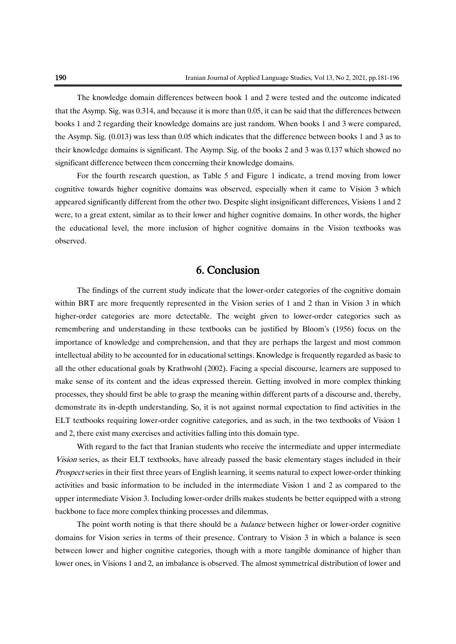The knowledge domain differences between book 1 and 2 were tested and the outcome indicated that the Asymp. Sig. was 0.314, and because it is more than 0.05, it can be said that the differences between books 1 and 2 regarding their knowledge domains are just random. When books 1 and 3 were compared, the Asymp. Sig. (0.013) was less than 0.05 which indicates that the difference between books 1 and 3 as to their knowledge domains is significant. The Asymp. Sig. of the books 2 and 3 was 0.137 which showed no significant difference between them concerning their knowledge domains.

For the fourth research question, as Table 5 and Figure 1 indicate, a trend moving from lower cognitive towards higher cognitive domains was observed, especially when it came to Vision 3 which appeared significantly different from the other two. Despite slight insignificant differences, Visions 1 and 2 were, to a great extent, similar as to their lower and higher cognitive domains. In other words, the higher the educational level, the more inclusion of higher cognitive domains in the Vision textbooks was observed.

### 6. Conclusion

The findings of the current study indicate that the lower-order categories of the cognitive domain within BRT are more frequently represented in the Vision series of 1 and 2 than in Vision 3 in which higher-order categories are more detectable. The weight given to lower-order categories such as remembering and understanding in these textbooks can be justified by Bloom's (1956) focus on the importance of knowledge and comprehension, and that they are perhaps the largest and most common intellectual ability to be accounted for in educational settings. Knowledge is frequently regarded as basic to all the other educational goals by Krathwohl (2002). Facing a special discourse, learners are supposed to make sense of its content and the ideas expressed therein. Getting involved in more complex thinking processes, they should first be able to grasp the meaning within different parts of a discourse and, thereby, demonstrate its in-depth understanding. So, it is not against normal expectation to find activities in the ELT textbooks requiring lower-order cognitive categories, and as such, in the two textbooks of Vision 1 and 2, there exist many exercises and activities falling into this domain type.

With regard to the fact that Iranian students who receive the intermediate and upper intermediate Vision series, as their ELT textbooks, have already passed the basic elementary stages included in their Prospect series in their first three years of English learning, it seems natural to expect lower-order thinking activities and basic information to be included in the intermediate Vision 1 and 2 as compared to the upper intermediate Vision 3. Including lower-order drills makes students be better equipped with a strong backbone to face more complex thinking processes and dilemmas.

The point worth noting is that there should be a *balance* between higher or lower-order cognitive domains for Vision series in terms of their presence. Contrary to Vision 3 in which a balance is seen between lower and higher cognitive categories, though with a more tangible dominance of higher than lower ones, in Visions 1 and 2, an imbalance is observed. The almost symmetrical distribution of lower and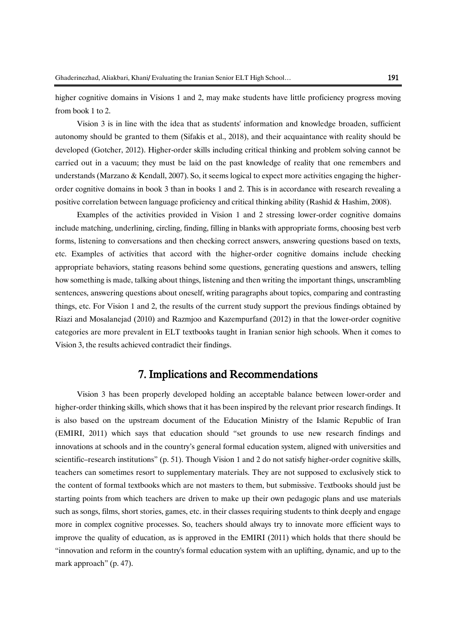higher cognitive domains in Visions 1 and 2, may make students have little proficiency progress moving from book 1 to 2.

Vision 3 is in line with the idea that as students' information and knowledge broaden, sufficient autonomy should be granted to them (Sifakis et al., 2018), and their acquaintance with reality should be developed (Gotcher, 2012). Higher-order skills including critical thinking and problem solving cannot be carried out in a vacuum; they must be laid on the past knowledge of reality that one remembers and understands (Marzano & Kendall, 2007). So, it seems logical to expect more activities engaging the higherorder cognitive domains in book 3 than in books 1 and 2. This is in accordance with research revealing a positive correlation between language proficiency and critical thinking ability (Rashid & Hashim, 2008).

Examples of the activities provided in Vision 1 and 2 stressing lower-order cognitive domains include matching, underlining, circling, finding, filling in blanks with appropriate forms, choosing best verb forms, listening to conversations and then checking correct answers, answering questions based on texts, etc. Examples of activities that accord with the higher-order cognitive domains include checking appropriate behaviors, stating reasons behind some questions, generating questions and answers, telling how something is made, talking about things, listening and then writing the important things, unscrambling sentences, answering questions about oneself, writing paragraphs about topics, comparing and contrasting things, etc. For Vision 1 and 2, the results of the current study support the previous findings obtained by Riazi and Mosalanejad (2010) and Razmjoo and Kazempurfand (2012) in that the lower-order cognitive categories are more prevalent in ELT textbooks taught in Iranian senior high schools. When it comes to Vision 3, the results achieved contradict their findings.

### 7. Implications and Recommendations

Vision 3 has been properly developed holding an acceptable balance between lower-order and higher-order thinking skills, which shows that it has been inspired by the relevant prior research findings. It is also based on the upstream document of the Education Ministry of the Islamic Republic of Iran (EMIRI, 2011) which says that education should "set grounds to use new research findings and innovations at schools and in the country's general formal education system, aligned with universities and scientific–research institutions" (p. 51). Though Vision 1 and 2 do not satisfy higher-order cognitive skills, teachers can sometimes resort to supplementary materials. They are not supposed to exclusively stick to the content of formal textbooks which are not masters to them, but submissive. Textbooks should just be starting points from which teachers are driven to make up their own pedagogic plans and use materials such as songs, films, short stories, games, etc. in their classes requiring students to think deeply and engage more in complex cognitive processes. So, teachers should always try to innovate more efficient ways to improve the quality of education, as is approved in the EMIRI (2011) which holds that there should be "innovation and reform in the country's formal education system with an uplifting, dynamic, and up to the mark approach" (p. 47).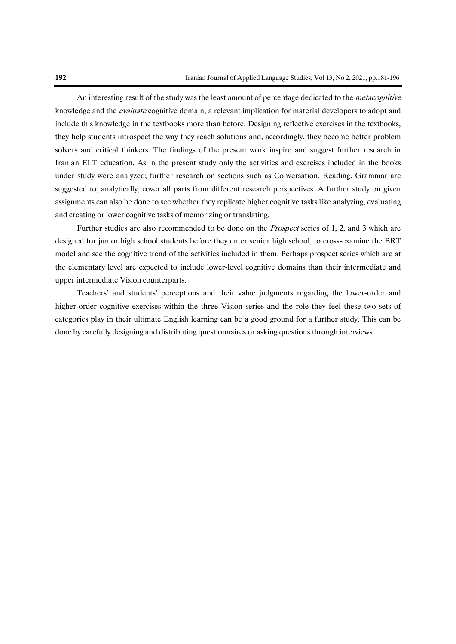An interesting result of the study was the least amount of percentage dedicated to the *metacognitive* knowledge and the evaluate cognitive domain; a relevant implication for material developers to adopt and include this knowledge in the textbooks more than before. Designing reflective exercises in the textbooks, they help students introspect the way they reach solutions and, accordingly, they become better problem solvers and critical thinkers. The findings of the present work inspire and suggest further research in Iranian ELT education. As in the present study only the activities and exercises included in the books under study were analyzed; further research on sections such as Conversation, Reading, Grammar are suggested to, analytically, cover all parts from different research perspectives. A further study on given assignments can also be done to see whether they replicate higher cognitive tasks like analyzing, evaluating and creating or lower cognitive tasks of memorizing or translating.

Further studies are also recommended to be done on the Prospect series of 1, 2, and 3 which are designed for junior high school students before they enter senior high school, to cross-examine the BRT model and see the cognitive trend of the activities included in them. Perhaps prospect series which are at the elementary level are expected to include lower-level cognitive domains than their intermediate and upper intermediate Vision counterparts.

Teachers' and students' perceptions and their value judgments regarding the lower-order and higher-order cognitive exercises within the three Vision series and the role they feel these two sets of categories play in their ultimate English learning can be a good ground for a further study. This can be done by carefully designing and distributing questionnaires or asking questions through interviews.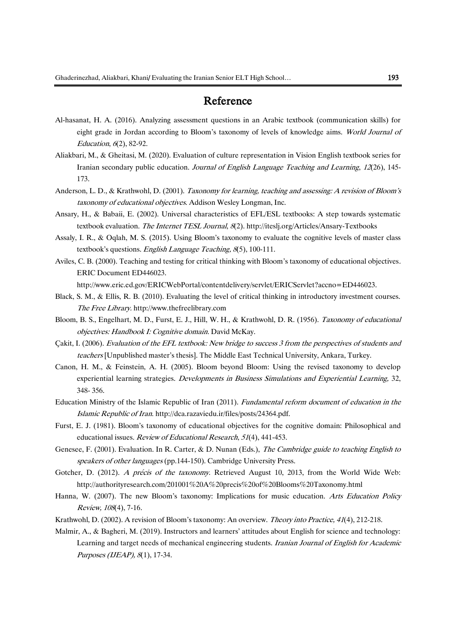# Reference

- Al-hasanat, H. A. (2016). Analyzing assessment questions in an Arabic textbook (communication skills) for eight grade in Jordan according to Bloom's taxonomy of levels of knowledge aims. World Journal of Education, <sup>6</sup>(2), 82-92.
- Aliakbari, M., & Gheitasi, M. (2020). Evaluation of culture representation in Vision English textbook series for Iranian secondary public education. Journal of English Language Teaching and Learning, 12(26), 145-173.
- Anderson, L. D., & Krathwohl, D. (2001). Taxonomy for learning, teaching and assessing: A revision of Bloom's taxonomy of educational objectives. Addison Wesley Longman, Inc.
- Ansary, H., & Babaii, E. (2002). Universal characteristics of EFL/ESL textbooks: A step towards systematic textbook evaluation. The Internet TESL Journal, 8(2). http://iteslj.org/Articles/Ansary-Textbooks
- Assaly, I. R., & Oqlah, M. S. (2015). Using Bloom's taxonomy to evaluate the cognitive levels of master class textbook's questions. English Language Teaching, 8(5), 100-111.
- Aviles, C. B. (2000). Teaching and testing for critical thinking with Bloom's taxonomy of educational objectives. ERIC Document ED446023.

http://www.eric.ed.gov/ERICWebPortal/contentdelivery/servlet/ERICServlet?accno=ED446023.

- Black, S. M., & Ellis, R. B. (2010). Evaluating the level of critical thinking in introductory investment courses. The Free Library. http://www.thefreelibrary.com
- Bloom, B. S., Engelhart, M. D., Furst, E. J., Hill, W. H., & Krathwohl, D. R. (1956). Taxonomy of educational objectives: Handbook I: Cognitive domain. David McKay.
- Çakit, I. (2006). Evaluation of the EFL textbook: New bridge to success 3 from the perspectives of students and teachers [Unpublished master's thesis]. The Middle East Technical University, Ankara, Turkey.
- Canon, H. M., & Feinstein, A. H. (2005). Bloom beyond Bloom: Using the revised taxonomy to develop experiential learning strategies. Developments in Business Simulations and Experiential Learning, 32, 348- 356.
- Education Ministry of the Islamic Republic of Iran (2011). Fundamental reform document of education in the Islamic Republic of Iran. http://dca.razaviedu.ir/files/posts/24364.pdf.
- Furst, E. J. (1981). Bloom's taxonomy of educational objectives for the cognitive domain: Philosophical and educational issues. Review of Educational Research, <sup>51</sup>(4), 441-453.
- Genesee, F. (2001). Evaluation. In R. Carter, & D. Nunan (Eds.), The Cambridge guide to teaching English to speakers of other languages (pp.144-150). Cambridge University Press.
- Gotcher, D. (2012). A précis of the taxonomy. Retrieved August 10, 2013, from the World Wide Web: http://authorityresearch.com/201001%20A%20precis%20of%20Blooms%20Taxonomy.html
- Hanna, W. (2007). The new Bloom's taxonomy: Implications for music education. Arts Education Policy Review, 108(4), 7-16.
- Krathwohl, D. (2002). A revision of Bloom's taxonomy: An overview. Theory into Practice, 41(4), 212-218.
- Malmir, A., & Bagheri, M. (2019). Instructors and learners' attitudes about English for science and technology: Learning and target needs of mechanical engineering students. Iranian Journal of English for Academic Purposes (IJEAP), 8(1), 17-34.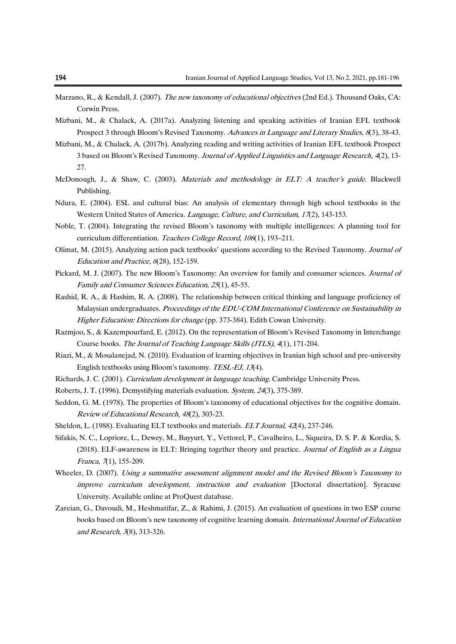- Marzano, R., & Kendall, J. (2007). The new taxonomy of educational objectives (2nd Ed.). Thousand Oaks, CA: Corwin Press.
- Mizbani, M., & Chalack, A. (2017a). Analyzing listening and speaking activities of Iranian EFL textbook Prospect 3 through Bloom's Revised Taxonomy. Advances in Language and Literary Studies, 8(3), 38-43.
- Mizbani, M., & Chalack, A. (2017b). Analyzing reading and writing activities of Iranian EFL textbook Prospect 3 based on Bloom's Revised Taxonomy. Journal of Applied Linguistics and Language Research, 4(2), 13-27.
- McDonough, J., & Shaw, C. (2003). Materials and methodology in ELT: A teacher's guide. Blackwell Publishing.
- Ndura, E. (2004). ESL and cultural bias: An analysis of elementary through high school textbooks in the Western United States of America. *Language, Culture, and Curriculum, 17*(2), 143-153.
- Noble, T. (2004). Integrating the revised Bloom's taxonomy with multiple intelligences: A planning tool for curriculum differentiation. Teachers College Record, 106(1), 193–211.
- Olimat, M. (2015). Analyzing action pack textbooks' questions according to the Revised Taxonomy. Journal of Education and Practice, 6(28), 152-159.
- Pickard, M. J. (2007). The new Bloom's Taxonomy: An overview for family and consumer sciences. *Journal of* Family and Consumer Sciences Education, 25(1), 45-55.
- Rashid, R. A., & Hashim, R. A. (2008). The relationship between critical thinking and language proficiency of Malaysian undergraduates. Proceedings of the EDU-COM International Conference on Sustainability in Higher Education: Directions for change (pp. 373-384). Edith Cowan University.
- Razmjoo, S., & Kazempourfard, E. (2012). On the representation of Bloom's Revised Taxonomy in Interchange Course books. The Journal of Teaching Language Skills (JTLS), 4(1), 171-204.
- Riazi, M., & Mosalanejad, N. (2010). Evaluation of learning objectives in Iranian high school and pre-university English textbooks using Bloom's taxonomy. TESL-EJ, 13(4).
- Richards, J. C. (2001). Curriculum development in language teaching. Cambridge University Press.
- Roberts, J. T. (1996). Demystifying materials evaluation. System, 24(3), 375-389.
- Seddon, G. M. (1978). The properties of Bloom's taxonomy of educational objectives for the cognitive domain. Review of Educational Research, 48(2), 303-23.
- Sheldon, L. (1988). Evaluating ELT textbooks and materials. ELT Journal, 42(4), 237-246.
- Sifakis, N. C., Lopriore, L., Dewey, M., Bayyurt, Y., Vettorel, P., Cavalheiro, L., Siqueira, D. S. P. & Kordia, S. (2018). ELF-awareness in ELT: Bringing together theory and practice. Journal of English as a Lingua Franca, 7(1), 155-209.
- Wheeler, D. (2007). Using a summative assessment alignment model and the Revised Bloom's Taxonomy to improve curriculum development, instruction and evaluation [Doctoral dissertation]. Syracuse University. Available online at ProQuest database.
- Zareian, G., Davoudi, M., Heshmatifar, Z., & Rahimi, J. (2015). An evaluation of questions in two ESP course books based on Bloom's new taxonomy of cognitive learning domain. International Journal of Education and Research, <sup>3</sup>(8), 313-326.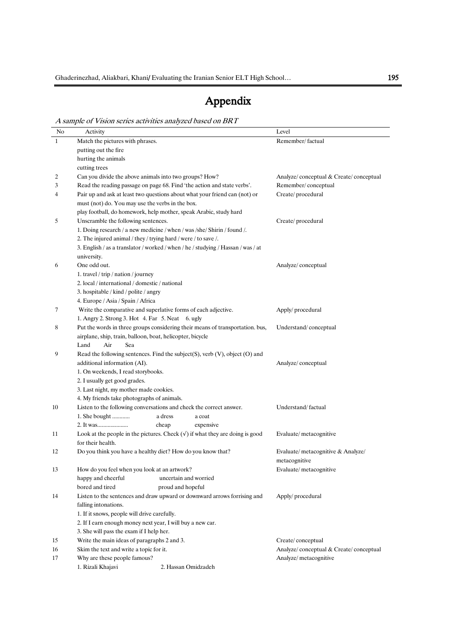# Appendix

A sample of Vision series activities analyzed based on BRT

| No           | Activity                                                                         | Level                                  |
|--------------|----------------------------------------------------------------------------------|----------------------------------------|
| $\mathbf{1}$ | Match the pictures with phrases.                                                 | Remember/factual                       |
|              | putting out the fire                                                             |                                        |
|              | hurting the animals                                                              |                                        |
|              | cutting trees                                                                    |                                        |
| 2            | Can you divide the above animals into two groups? How?                           | Analyze/conceptual & Create/conceptual |
| 3            | Read the reading passage on page 68. Find 'the action and state verbs'.          | Remember/conceptual                    |
| 4            | Pair up and ask at least two questions about what your friend can (not) or       | Create/procedural                      |
|              |                                                                                  |                                        |
|              | must (not) do. You may use the verbs in the box.                                 |                                        |
|              | play football, do homework, help mother, speak Arabic, study hard                |                                        |
| 5            | Unscramble the following sentences.                                              | Create/procedural                      |
|              | 1. Doing research / a new medicine / when / was /she/ Shirin / found /.          |                                        |
|              | 2. The injured animal / they / trying hard / were / to save /.                   |                                        |
|              | 3. English / as a translator / worked / when / he / studying / Hassan / was / at |                                        |
|              | university.                                                                      |                                        |
| 6            | One odd out.                                                                     | Analyze/conceptual                     |
|              | 1. travel / trip / nation / journey                                              |                                        |
|              | 2. local / international / domestic / national                                   |                                        |
|              | 3. hospitable / kind / polite / angry                                            |                                        |
|              | 4. Europe / Asia / Spain / Africa                                                |                                        |
| 7            | Write the comparative and superlative forms of each adjective.                   | Apply/ procedural                      |
|              | 1. Angry 2. Strong 3. Hot 4. Far 5. Neat 6. ugly                                 |                                        |
| 8            | Put the words in three groups considering their means of transportation. bus,    | Understand/conceptual                  |
|              | airplane, ship, train, balloon, boat, helicopter, bicycle                        |                                        |
|              | Air<br>Land<br>Sea                                                               |                                        |
| 9            | Read the following sentences. Find the subject(S), verb $(V)$ , object $(O)$ and |                                        |
|              | additional information (AI).                                                     | Analyze/conceptual                     |
|              | 1. On weekends, I read storybooks.                                               |                                        |
|              | 2. I usually get good grades.                                                    |                                        |
|              | 3. Last night, my mother made cookies.                                           |                                        |
|              | 4. My friends take photographs of animals.                                       |                                        |
| 10           | Listen to the following conversations and check the correct answer.              | Understand/factual                     |
|              | 1. She bought<br>a dress<br>a coat                                               |                                        |
|              | cheap<br>expensive                                                               |                                        |
| 11           | Look at the people in the pictures. Check $(v)$ if what they are doing is good   | Evaluate/metacognitive                 |
|              | for their health.                                                                |                                        |
| 12           | Do you think you have a healthy diet? How do you know that?                      | Evaluate/metacognitive & Analyze/      |
|              |                                                                                  | metacognitive                          |
| 13           | How do you feel when you look at an artwork?                                     | Evaluate/metacognitive                 |
|              | happy and cheerful<br>uncertain and worried                                      |                                        |
|              | bored and tired<br>proud and hopeful                                             |                                        |
| 14           | Listen to the sentences and draw upward or downward arrows forrising and         | Apply/ procedural                      |
|              | falling intonations.                                                             |                                        |
|              | 1. If it snows, people will drive carefully.                                     |                                        |
|              | 2. If I earn enough money next year, I will buy a new car.                       |                                        |
|              | 3. She will pass the exam if I help her.                                         |                                        |
| 15           | Write the main ideas of paragraphs 2 and 3.                                      | Create/conceptual                      |
| 16           | Skim the text and write a topic for it.                                          | Analyze/conceptual & Create/conceptual |
| 17           | Why are these people famous?                                                     | Analyze/ metacognitive                 |
|              | 1. Rizali Khajavi<br>2. Hassan Omidzadeh                                         |                                        |